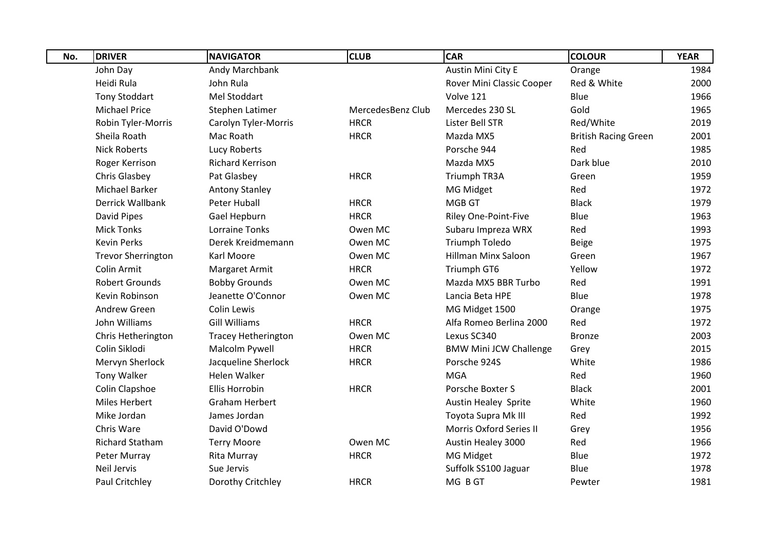| No. | <b>DRIVER</b>             | <b>NAVIGATOR</b>           | <b>CLUB</b>       | <b>CAR</b>                    | <b>COLOUR</b>               | <b>YEAR</b> |
|-----|---------------------------|----------------------------|-------------------|-------------------------------|-----------------------------|-------------|
|     | John Day                  | Andy Marchbank             |                   | Austin Mini City E            | Orange                      | 1984        |
|     | Heidi Rula                | John Rula                  |                   | Rover Mini Classic Cooper     | Red & White                 | 2000        |
|     | <b>Tony Stoddart</b>      | Mel Stoddart               |                   | Volve 121                     | Blue                        | 1966        |
|     | <b>Michael Price</b>      | Stephen Latimer            | MercedesBenz Club | Mercedes 230 SL               | Gold                        | 1965        |
|     | <b>Robin Tyler-Morris</b> | Carolyn Tyler-Morris       | <b>HRCR</b>       | Lister Bell STR               | Red/White                   | 2019        |
|     | Sheila Roath              | Mac Roath                  | <b>HRCR</b>       | Mazda MX5                     | <b>British Racing Green</b> | 2001        |
|     | <b>Nick Roberts</b>       | Lucy Roberts               |                   | Porsche 944                   | Red                         | 1985        |
|     | Roger Kerrison            | Richard Kerrison           |                   | Mazda MX5                     | Dark blue                   | 2010        |
|     | Chris Glasbey             | Pat Glasbey                | <b>HRCR</b>       | Triumph TR3A                  | Green                       | 1959        |
|     | <b>Michael Barker</b>     | <b>Antony Stanley</b>      |                   | MG Midget                     | Red                         | 1972        |
|     | Derrick Wallbank          | Peter Huball               | <b>HRCR</b>       | <b>MGB GT</b>                 | <b>Black</b>                | 1979        |
|     | David Pipes               | Gael Hepburn               | <b>HRCR</b>       | <b>Riley One-Point-Five</b>   | Blue                        | 1963        |
|     | <b>Mick Tonks</b>         | <b>Lorraine Tonks</b>      | Owen MC           | Subaru Impreza WRX            | Red                         | 1993        |
|     | <b>Kevin Perks</b>        | Derek Kreidmemann          | Owen MC           | Triumph Toledo                | Beige                       | 1975        |
|     | <b>Trevor Sherrington</b> | Karl Moore                 | Owen MC           | <b>Hillman Minx Saloon</b>    | Green                       | 1967        |
|     | Colin Armit               | Margaret Armit             | <b>HRCR</b>       | Triumph GT6                   | Yellow                      | 1972        |
|     | <b>Robert Grounds</b>     | <b>Bobby Grounds</b>       | Owen MC           | Mazda MX5 BBR Turbo           | Red                         | 1991        |
|     | Kevin Robinson            | Jeanette O'Connor          | Owen MC           | Lancia Beta HPE               | Blue                        | 1978        |
|     | Andrew Green              | <b>Colin Lewis</b>         |                   | MG Midget 1500                | Orange                      | 1975        |
|     | John Williams             | <b>Gill Williams</b>       | <b>HRCR</b>       | Alfa Romeo Berlina 2000       | Red                         | 1972        |
|     | Chris Hetherington        | <b>Tracey Hetherington</b> | Owen MC           | Lexus SC340                   | <b>Bronze</b>               | 2003        |
|     | Colin Siklodi             | Malcolm Pywell             | <b>HRCR</b>       | <b>BMW Mini JCW Challenge</b> | Grey                        | 2015        |
|     | Mervyn Sherlock           | Jacqueline Sherlock        | <b>HRCR</b>       | Porsche 924S                  | White                       | 1986        |
|     | Tony Walker               | <b>Helen Walker</b>        |                   | <b>MGA</b>                    | Red                         | 1960        |
|     | Colin Clapshoe            | <b>Ellis Horrobin</b>      | <b>HRCR</b>       | Porsche Boxter S              | <b>Black</b>                | 2001        |
|     | <b>Miles Herbert</b>      | <b>Graham Herbert</b>      |                   | <b>Austin Healey Sprite</b>   | White                       | 1960        |
|     | Mike Jordan               | James Jordan               |                   | Toyota Supra Mk III           | Red                         | 1992        |
|     | Chris Ware                | David O'Dowd               |                   | Morris Oxford Series II       | Grey                        | 1956        |
|     | <b>Richard Statham</b>    | <b>Terry Moore</b>         | Owen MC           | Austin Healey 3000            | Red                         | 1966        |
|     | Peter Murray              | <b>Rita Murray</b>         | <b>HRCR</b>       | MG Midget                     | Blue                        | 1972        |
|     | <b>Neil Jervis</b>        | Sue Jervis                 |                   | Suffolk SS100 Jaguar          | Blue                        | 1978        |
|     | Paul Critchley            | Dorothy Critchley          | <b>HRCR</b>       | MG B GT                       | Pewter                      | 1981        |